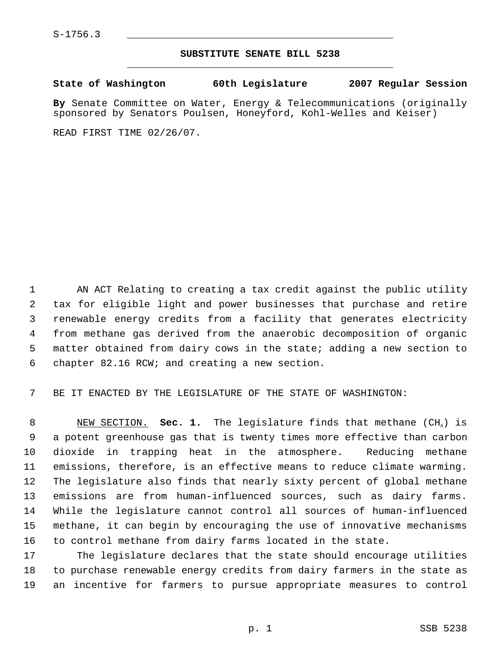## **SUBSTITUTE SENATE BILL 5238** \_\_\_\_\_\_\_\_\_\_\_\_\_\_\_\_\_\_\_\_\_\_\_\_\_\_\_\_\_\_\_\_\_\_\_\_\_\_\_\_\_\_\_\_\_

**State of Washington 60th Legislature 2007 Regular Session**

**By** Senate Committee on Water, Energy & Telecommunications (originally sponsored by Senators Poulsen, Honeyford, Kohl-Welles and Keiser)

READ FIRST TIME 02/26/07.

 AN ACT Relating to creating a tax credit against the public utility tax for eligible light and power businesses that purchase and retire renewable energy credits from a facility that generates electricity from methane gas derived from the anaerobic decomposition of organic matter obtained from dairy cows in the state; adding a new section to chapter 82.16 RCW; and creating a new section.

BE IT ENACTED BY THE LEGISLATURE OF THE STATE OF WASHINGTON:

8 NEW SECTION. **Sec. 1.** The legislature finds that methane (CH<sub>4</sub>) is a potent greenhouse gas that is twenty times more effective than carbon dioxide in trapping heat in the atmosphere. Reducing methane emissions, therefore, is an effective means to reduce climate warming. The legislature also finds that nearly sixty percent of global methane emissions are from human-influenced sources, such as dairy farms. While the legislature cannot control all sources of human-influenced methane, it can begin by encouraging the use of innovative mechanisms to control methane from dairy farms located in the state.

 The legislature declares that the state should encourage utilities to purchase renewable energy credits from dairy farmers in the state as an incentive for farmers to pursue appropriate measures to control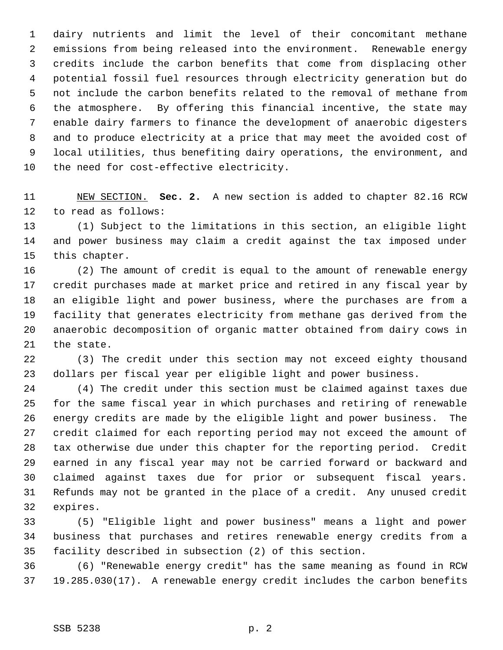dairy nutrients and limit the level of their concomitant methane emissions from being released into the environment. Renewable energy credits include the carbon benefits that come from displacing other potential fossil fuel resources through electricity generation but do not include the carbon benefits related to the removal of methane from the atmosphere. By offering this financial incentive, the state may enable dairy farmers to finance the development of anaerobic digesters and to produce electricity at a price that may meet the avoided cost of local utilities, thus benefiting dairy operations, the environment, and the need for cost-effective electricity.

 NEW SECTION. **Sec. 2.** A new section is added to chapter 82.16 RCW to read as follows:

 (1) Subject to the limitations in this section, an eligible light and power business may claim a credit against the tax imposed under this chapter.

 (2) The amount of credit is equal to the amount of renewable energy credit purchases made at market price and retired in any fiscal year by an eligible light and power business, where the purchases are from a facility that generates electricity from methane gas derived from the anaerobic decomposition of organic matter obtained from dairy cows in the state.

 (3) The credit under this section may not exceed eighty thousand dollars per fiscal year per eligible light and power business.

 (4) The credit under this section must be claimed against taxes due for the same fiscal year in which purchases and retiring of renewable energy credits are made by the eligible light and power business. The credit claimed for each reporting period may not exceed the amount of tax otherwise due under this chapter for the reporting period. Credit earned in any fiscal year may not be carried forward or backward and claimed against taxes due for prior or subsequent fiscal years. Refunds may not be granted in the place of a credit. Any unused credit expires.

 (5) "Eligible light and power business" means a light and power business that purchases and retires renewable energy credits from a facility described in subsection (2) of this section.

 (6) "Renewable energy credit" has the same meaning as found in RCW 19.285.030(17). A renewable energy credit includes the carbon benefits